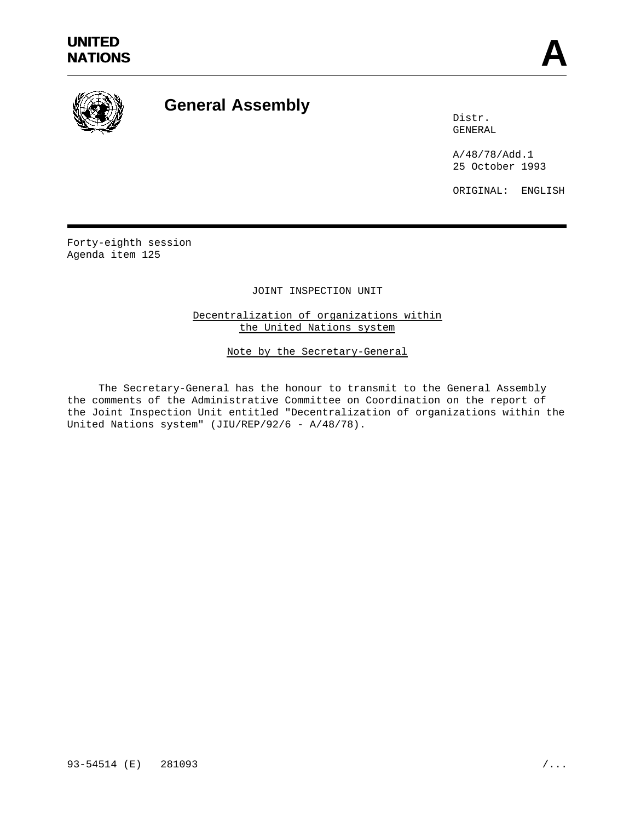

# **General Assembly**

Distr. GENERAL

A/48/78/Add.1 25 October 1993

ORIGINAL: ENGLISH

Forty-eighth session Agenda item 125

JOINT INSPECTION UNIT

Decentralization of organizations within the United Nations system

Note by the Secretary-General

The Secretary-General has the honour to transmit to the General Assembly the comments of the Administrative Committee on Coordination on the report of the Joint Inspection Unit entitled "Decentralization of organizations within the United Nations system" (JIU/REP/92/6 - A/48/78).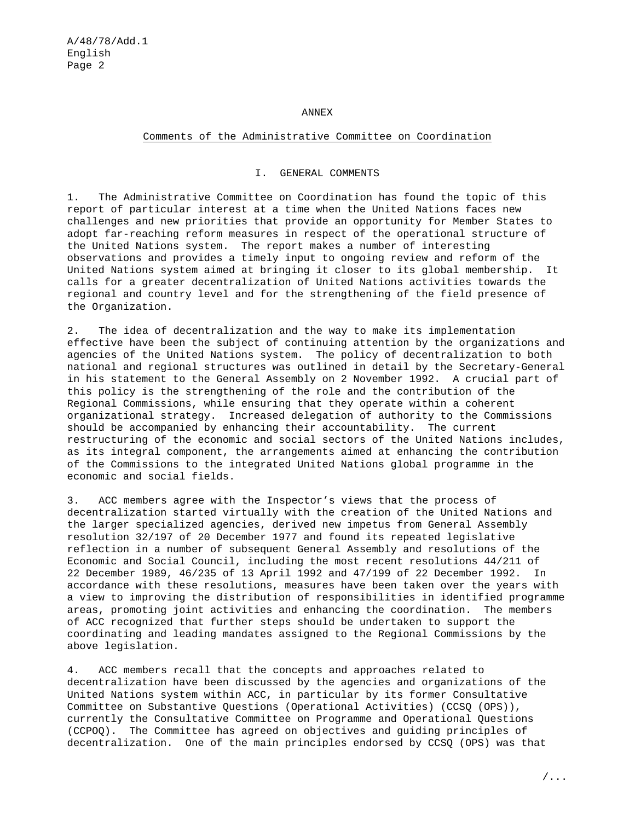#### ANNEX

#### Comments of the Administrative Committee on Coordination

#### I. GENERAL COMMENTS

1. The Administrative Committee on Coordination has found the topic of this report of particular interest at a time when the United Nations faces new challenges and new priorities that provide an opportunity for Member States to adopt far-reaching reform measures in respect of the operational structure of the United Nations system. The report makes a number of interesting observations and provides a timely input to ongoing review and reform of the United Nations system aimed at bringing it closer to its global membership. It calls for a greater decentralization of United Nations activities towards the regional and country level and for the strengthening of the field presence of the Organization.

2. The idea of decentralization and the way to make its implementation effective have been the subject of continuing attention by the organizations and agencies of the United Nations system. The policy of decentralization to both national and regional structures was outlined in detail by the Secretary-General in his statement to the General Assembly on 2 November 1992. A crucial part of this policy is the strengthening of the role and the contribution of the Regional Commissions, while ensuring that they operate within a coherent organizational strategy. Increased delegation of authority to the Commissions should be accompanied by enhancing their accountability. The current restructuring of the economic and social sectors of the United Nations includes, as its integral component, the arrangements aimed at enhancing the contribution of the Commissions to the integrated United Nations global programme in the economic and social fields.

3. ACC members agree with the Inspector's views that the process of decentralization started virtually with the creation of the United Nations and the larger specialized agencies, derived new impetus from General Assembly resolution 32/197 of 20 December 1977 and found its repeated legislative reflection in a number of subsequent General Assembly and resolutions of the Economic and Social Council, including the most recent resolutions 44/211 of 22 December 1989, 46/235 of 13 April 1992 and 47/199 of 22 December 1992. In accordance with these resolutions, measures have been taken over the years with a view to improving the distribution of responsibilities in identified programme areas, promoting joint activities and enhancing the coordination. The members of ACC recognized that further steps should be undertaken to support the coordinating and leading mandates assigned to the Regional Commissions by the above legislation.

4. ACC members recall that the concepts and approaches related to decentralization have been discussed by the agencies and organizations of the United Nations system within ACC, in particular by its former Consultative Committee on Substantive Questions (Operational Activities) (CCSQ (OPS)), currently the Consultative Committee on Programme and Operational Questions (CCPOQ). The Committee has agreed on objectives and guiding principles of decentralization. One of the main principles endorsed by CCSQ (OPS) was that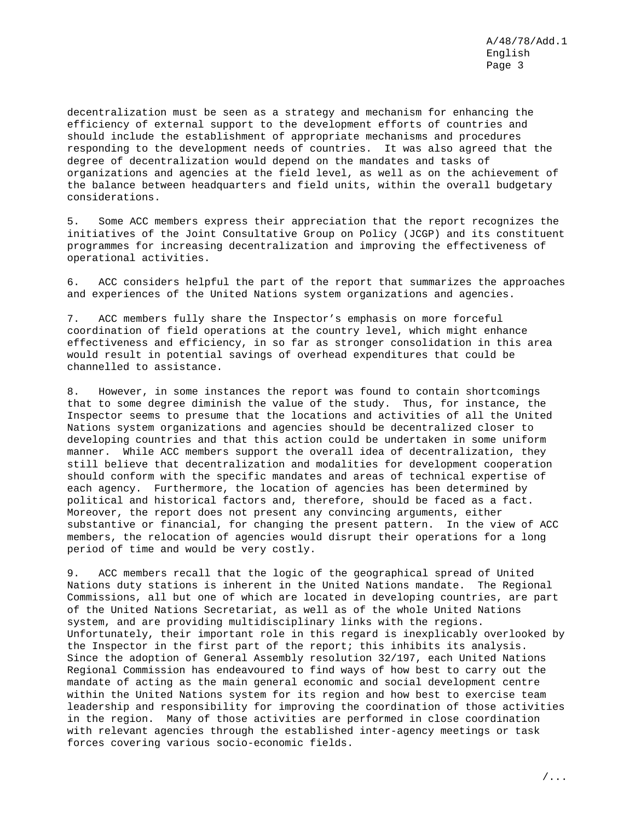decentralization must be seen as a strategy and mechanism for enhancing the efficiency of external support to the development efforts of countries and should include the establishment of appropriate mechanisms and procedures responding to the development needs of countries. It was also agreed that the degree of decentralization would depend on the mandates and tasks of organizations and agencies at the field level, as well as on the achievement of the balance between headquarters and field units, within the overall budgetary considerations.

5. Some ACC members express their appreciation that the report recognizes the initiatives of the Joint Consultative Group on Policy (JCGP) and its constituent programmes for increasing decentralization and improving the effectiveness of operational activities.

6. ACC considers helpful the part of the report that summarizes the approaches and experiences of the United Nations system organizations and agencies.

7. ACC members fully share the Inspector's emphasis on more forceful coordination of field operations at the country level, which might enhance effectiveness and efficiency, in so far as stronger consolidation in this area would result in potential savings of overhead expenditures that could be channelled to assistance.

8. However, in some instances the report was found to contain shortcomings that to some degree diminish the value of the study. Thus, for instance, the Inspector seems to presume that the locations and activities of all the United Nations system organizations and agencies should be decentralized closer to developing countries and that this action could be undertaken in some uniform manner. While ACC members support the overall idea of decentralization, they still believe that decentralization and modalities for development cooperation should conform with the specific mandates and areas of technical expertise of each agency. Furthermore, the location of agencies has been determined by political and historical factors and, therefore, should be faced as a fact. Moreover, the report does not present any convincing arguments, either substantive or financial, for changing the present pattern. In the view of ACC members, the relocation of agencies would disrupt their operations for a long period of time and would be very costly.

9. ACC members recall that the logic of the geographical spread of United Nations duty stations is inherent in the United Nations mandate. The Regional Commissions, all but one of which are located in developing countries, are part of the United Nations Secretariat, as well as of the whole United Nations system, and are providing multidisciplinary links with the regions. Unfortunately, their important role in this regard is inexplicably overlooked by the Inspector in the first part of the report; this inhibits its analysis. Since the adoption of General Assembly resolution 32/197, each United Nations Regional Commission has endeavoured to find ways of how best to carry out the mandate of acting as the main general economic and social development centre within the United Nations system for its region and how best to exercise team leadership and responsibility for improving the coordination of those activities in the region. Many of those activities are performed in close coordination with relevant agencies through the established inter-agency meetings or task forces covering various socio-economic fields.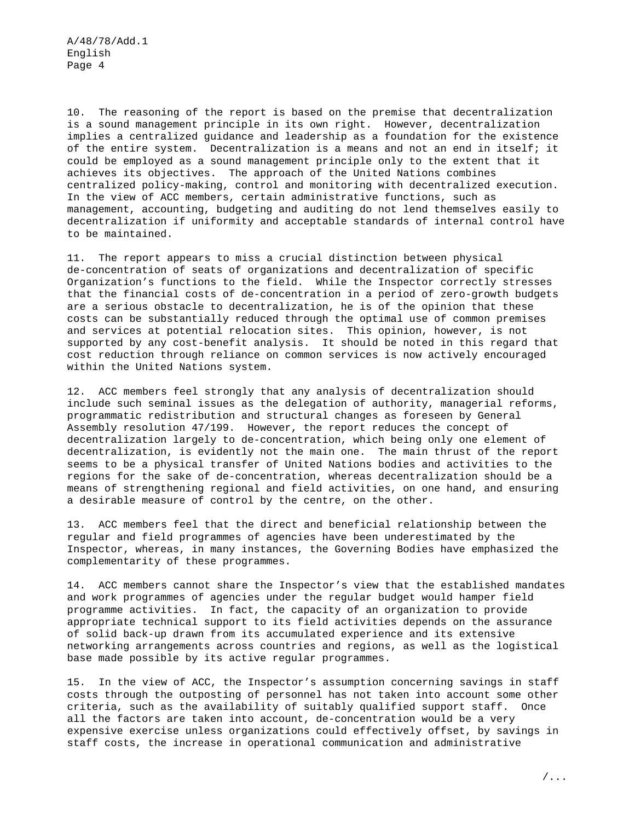10. The reasoning of the report is based on the premise that decentralization is a sound management principle in its own right. However, decentralization implies a centralized guidance and leadership as a foundation for the existence of the entire system. Decentralization is a means and not an end in itself; it could be employed as a sound management principle only to the extent that it achieves its objectives. The approach of the United Nations combines centralized policy-making, control and monitoring with decentralized execution. In the view of ACC members, certain administrative functions, such as management, accounting, budgeting and auditing do not lend themselves easily to decentralization if uniformity and acceptable standards of internal control have to be maintained.

11. The report appears to miss a crucial distinction between physical de-concentration of seats of organizations and decentralization of specific Organization's functions to the field. While the Inspector correctly stresses that the financial costs of de-concentration in a period of zero-growth budgets are a serious obstacle to decentralization, he is of the opinion that these costs can be substantially reduced through the optimal use of common premises and services at potential relocation sites. This opinion, however, is not supported by any cost-benefit analysis. It should be noted in this regard that cost reduction through reliance on common services is now actively encouraged within the United Nations system.

12. ACC members feel strongly that any analysis of decentralization should include such seminal issues as the delegation of authority, managerial reforms, programmatic redistribution and structural changes as foreseen by General Assembly resolution 47/199. However, the report reduces the concept of decentralization largely to de-concentration, which being only one element of decentralization, is evidently not the main one. The main thrust of the report seems to be a physical transfer of United Nations bodies and activities to the regions for the sake of de-concentration, whereas decentralization should be a means of strengthening regional and field activities, on one hand, and ensuring a desirable measure of control by the centre, on the other.

13. ACC members feel that the direct and beneficial relationship between the regular and field programmes of agencies have been underestimated by the Inspector, whereas, in many instances, the Governing Bodies have emphasized the complementarity of these programmes.

14. ACC members cannot share the Inspector's view that the established mandates and work programmes of agencies under the regular budget would hamper field programme activities. In fact, the capacity of an organization to provide appropriate technical support to its field activities depends on the assurance of solid back-up drawn from its accumulated experience and its extensive networking arrangements across countries and regions, as well as the logistical base made possible by its active regular programmes.

15. In the view of ACC, the Inspector's assumption concerning savings in staff costs through the outposting of personnel has not taken into account some other criteria, such as the availability of suitably qualified support staff. Once all the factors are taken into account, de-concentration would be a very expensive exercise unless organizations could effectively offset, by savings in staff costs, the increase in operational communication and administrative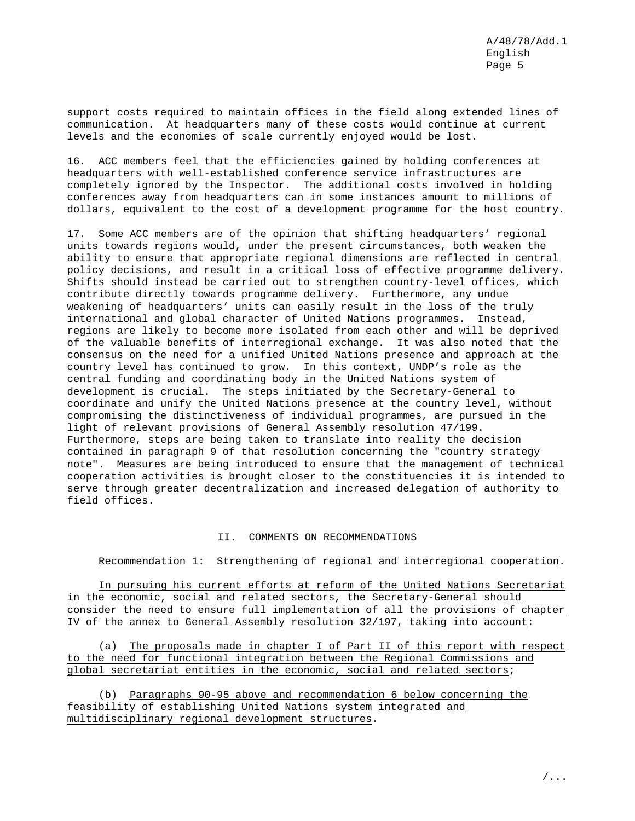support costs required to maintain offices in the field along extended lines of communication. At headquarters many of these costs would continue at current levels and the economies of scale currently enjoyed would be lost.

16. ACC members feel that the efficiencies gained by holding conferences at headquarters with well-established conference service infrastructures are completely ignored by the Inspector. The additional costs involved in holding conferences away from headquarters can in some instances amount to millions of dollars, equivalent to the cost of a development programme for the host country.

17. Some ACC members are of the opinion that shifting headquarters' regional units towards regions would, under the present circumstances, both weaken the ability to ensure that appropriate regional dimensions are reflected in central policy decisions, and result in a critical loss of effective programme delivery. Shifts should instead be carried out to strengthen country-level offices, which contribute directly towards programme delivery. Furthermore, any undue weakening of headquarters' units can easily result in the loss of the truly international and global character of United Nations programmes. Instead, regions are likely to become more isolated from each other and will be deprived of the valuable benefits of interregional exchange. It was also noted that the consensus on the need for a unified United Nations presence and approach at the country level has continued to grow. In this context, UNDP's role as the central funding and coordinating body in the United Nations system of development is crucial. The steps initiated by the Secretary-General to coordinate and unify the United Nations presence at the country level, without compromising the distinctiveness of individual programmes, are pursued in the light of relevant provisions of General Assembly resolution 47/199. Furthermore, steps are being taken to translate into reality the decision contained in paragraph 9 of that resolution concerning the "country strategy note". Measures are being introduced to ensure that the management of technical cooperation activities is brought closer to the constituencies it is intended to serve through greater decentralization and increased delegation of authority to field offices.

#### II. COMMENTS ON RECOMMENDATIONS

#### Recommendation 1: Strengthening of regional and interregional cooperation.

In pursuing his current efforts at reform of the United Nations Secretariat in the economic, social and related sectors, the Secretary-General should consider the need to ensure full implementation of all the provisions of chapter IV of the annex to General Assembly resolution 32/197, taking into account:

(a) The proposals made in chapter I of Part II of this report with respect to the need for functional integration between the Regional Commissions and global secretariat entities in the economic, social and related sectors;

(b) Paragraphs 90-95 above and recommendation 6 below concerning the feasibility of establishing United Nations system integrated and multidisciplinary regional development structures.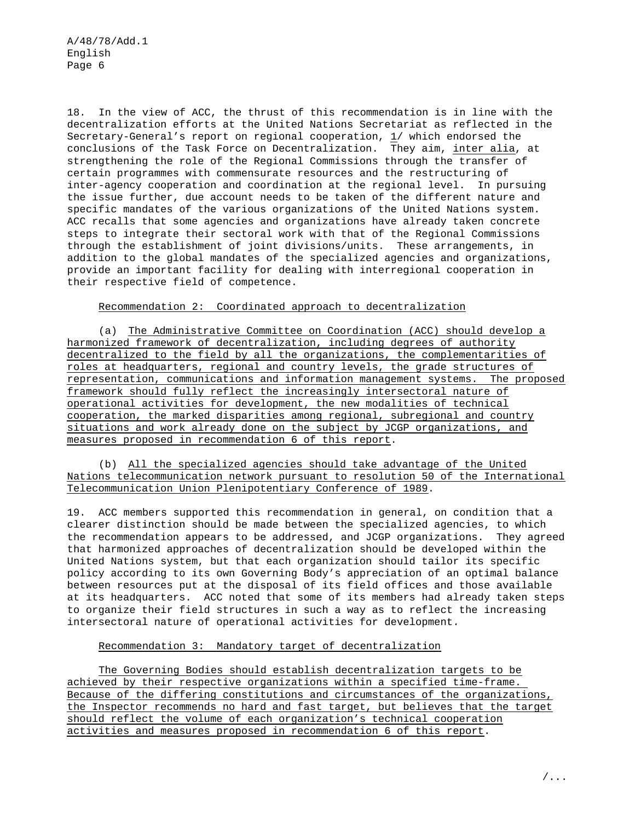18. In the view of ACC, the thrust of this recommendation is in line with the decentralization efforts at the United Nations Secretariat as reflected in the Secretary-General's report on regional cooperation, 1/ which endorsed the conclusions of the Task Force on Decentralization. They aim, inter alia, at strengthening the role of the Regional Commissions through the transfer of certain programmes with commensurate resources and the restructuring of inter-agency cooperation and coordination at the regional level. In pursuing the issue further, due account needs to be taken of the different nature and specific mandates of the various organizations of the United Nations system. ACC recalls that some agencies and organizations have already taken concrete steps to integrate their sectoral work with that of the Regional Commissions through the establishment of joint divisions/units. These arrangements, in addition to the global mandates of the specialized agencies and organizations, provide an important facility for dealing with interregional cooperation in their respective field of competence.

## Recommendation 2: Coordinated approach to decentralization

(a) The Administrative Committee on Coordination (ACC) should develop a harmonized framework of decentralization, including degrees of authority decentralized to the field by all the organizations, the complementarities of roles at headquarters, regional and country levels, the grade structures of representation, communications and information management systems. The proposed framework should fully reflect the increasingly intersectoral nature of operational activities for development, the new modalities of technical cooperation, the marked disparities among regional, subregional and country situations and work already done on the subject by JCGP organizations, and measures proposed in recommendation 6 of this report.

(b) All the specialized agencies should take advantage of the United Nations telecommunication network pursuant to resolution 50 of the International Telecommunication Union Plenipotentiary Conference of 1989.

19. ACC members supported this recommendation in general, on condition that a clearer distinction should be made between the specialized agencies, to which the recommendation appears to be addressed, and JCGP organizations. They agreed that harmonized approaches of decentralization should be developed within the United Nations system, but that each organization should tailor its specific policy according to its own Governing Body's appreciation of an optimal balance between resources put at the disposal of its field offices and those available at its headquarters. ACC noted that some of its members had already taken steps to organize their field structures in such a way as to reflect the increasing intersectoral nature of operational activities for development.

## Recommendation 3: Mandatory target of decentralization

The Governing Bodies should establish decentralization targets to be achieved by their respective organizations within a specified time-frame. Because of the differing constitutions and circumstances of the organizations, the Inspector recommends no hard and fast target, but believes that the target should reflect the volume of each organization's technical cooperation activities and measures proposed in recommendation 6 of this report.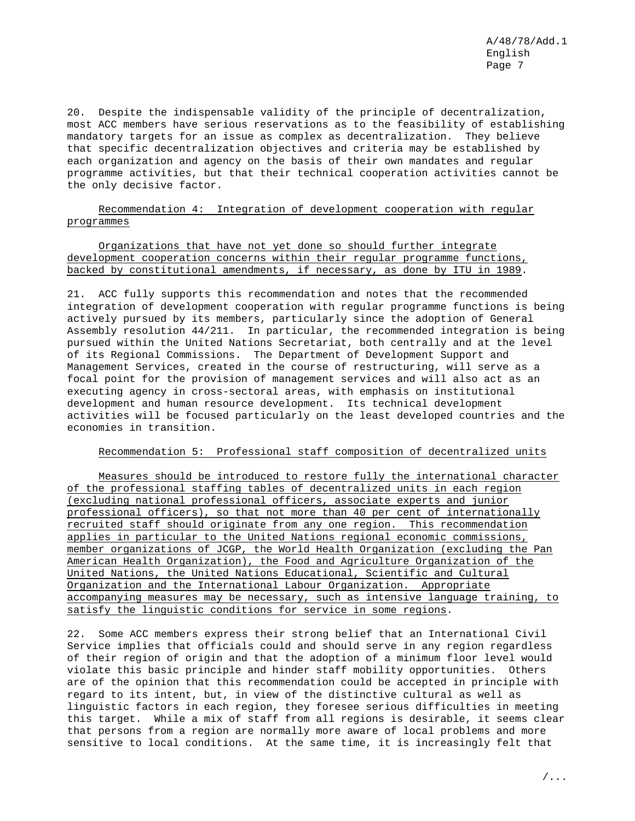20. Despite the indispensable validity of the principle of decentralization, most ACC members have serious reservations as to the feasibility of establishing mandatory targets for an issue as complex as decentralization. They believe that specific decentralization objectives and criteria may be established by each organization and agency on the basis of their own mandates and regular programme activities, but that their technical cooperation activities cannot be the only decisive factor.

## Recommendation 4: Integration of development cooperation with regular programmes

Organizations that have not yet done so should further integrate development cooperation concerns within their regular programme functions, backed by constitutional amendments, if necessary, as done by ITU in 1989.

21. ACC fully supports this recommendation and notes that the recommended integration of development cooperation with regular programme functions is being actively pursued by its members, particularly since the adoption of General Assembly resolution 44/211. In particular, the recommended integration is being pursued within the United Nations Secretariat, both centrally and at the level of its Regional Commissions. The Department of Development Support and Management Services, created in the course of restructuring, will serve as a focal point for the provision of management services and will also act as an executing agency in cross-sectoral areas, with emphasis on institutional development and human resource development. Its technical development activities will be focused particularly on the least developed countries and the economies in transition.

## Recommendation 5: Professional staff composition of decentralized units

Measures should be introduced to restore fully the international character of the professional staffing tables of decentralized units in each region (excluding national professional officers, associate experts and junior professional officers), so that not more than 40 per cent of internationally recruited staff should originate from any one region. This recommendation applies in particular to the United Nations regional economic commissions, member organizations of JCGP, the World Health Organization (excluding the Pan American Health Organization), the Food and Agriculture Organization of the United Nations, the United Nations Educational, Scientific and Cultural Organization and the International Labour Organization. Appropriate accompanying measures may be necessary, such as intensive language training, to satisfy the linguistic conditions for service in some regions.

22. Some ACC members express their strong belief that an International Civil Service implies that officials could and should serve in any region regardless of their region of origin and that the adoption of a minimum floor level would violate this basic principle and hinder staff mobility opportunities. Others are of the opinion that this recommendation could be accepted in principle with regard to its intent, but, in view of the distinctive cultural as well as linguistic factors in each region, they foresee serious difficulties in meeting this target. While a mix of staff from all regions is desirable, it seems clear that persons from a region are normally more aware of local problems and more sensitive to local conditions. At the same time, it is increasingly felt that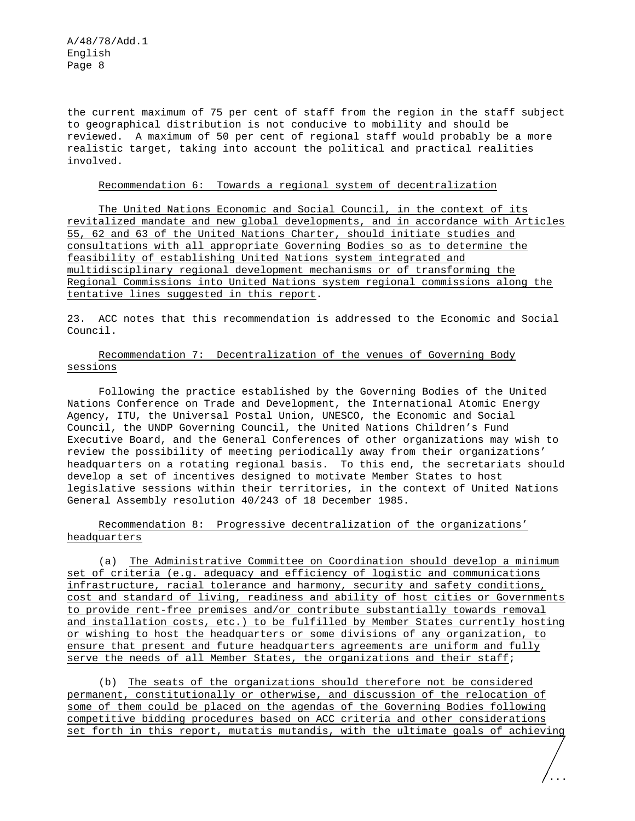the current maximum of 75 per cent of staff from the region in the staff subject to geographical distribution is not conducive to mobility and should be reviewed. A maximum of 50 per cent of regional staff would probably be a more realistic target, taking into account the political and practical realities involved.

#### Recommendation 6: Towards a regional system of decentralization

The United Nations Economic and Social Council, in the context of its revitalized mandate and new global developments, and in accordance with Articles 55, 62 and 63 of the United Nations Charter, should initiate studies and consultations with all appropriate Governing Bodies so as to determine the feasibility of establishing United Nations system integrated and multidisciplinary regional development mechanisms or of transforming the Regional Commissions into United Nations system regional commissions along the tentative lines suggested in this report.

23. ACC notes that this recommendation is addressed to the Economic and Social Council.

## Recommendation 7: Decentralization of the venues of Governing Body sessions

Following the practice established by the Governing Bodies of the United Nations Conference on Trade and Development, the International Atomic Energy Agency, ITU, the Universal Postal Union, UNESCO, the Economic and Social Council, the UNDP Governing Council, the United Nations Children's Fund Executive Board, and the General Conferences of other organizations may wish to review the possibility of meeting periodically away from their organizations' headquarters on a rotating regional basis. To this end, the secretariats should develop a set of incentives designed to motivate Member States to host legislative sessions within their territories, in the context of United Nations General Assembly resolution 40/243 of 18 December 1985.

# Recommendation 8: Progressive decentralization of the organizations' headquarters

(a) The Administrative Committee on Coordination should develop a minimum set of criteria (e.g. adequacy and efficiency of logistic and communications infrastructure, racial tolerance and harmony, security and safety conditions, cost and standard of living, readiness and ability of host cities or Governments to provide rent-free premises and/or contribute substantially towards removal and installation costs, etc.) to be fulfilled by Member States currently hosting or wishing to host the headquarters or some divisions of any organization, to ensure that present and future headquarters agreements are uniform and fully serve the needs of all Member States, the organizations and their staff;

(b) The seats of the organizations should therefore not be considered permanent, constitutionally or otherwise, and discussion of the relocation of some of them could be placed on the agendas of the Governing Bodies following competitive bidding procedures based on ACC criteria and other considerations set forth in this report, mutatis mutandis, with the ultimate goals of achieving